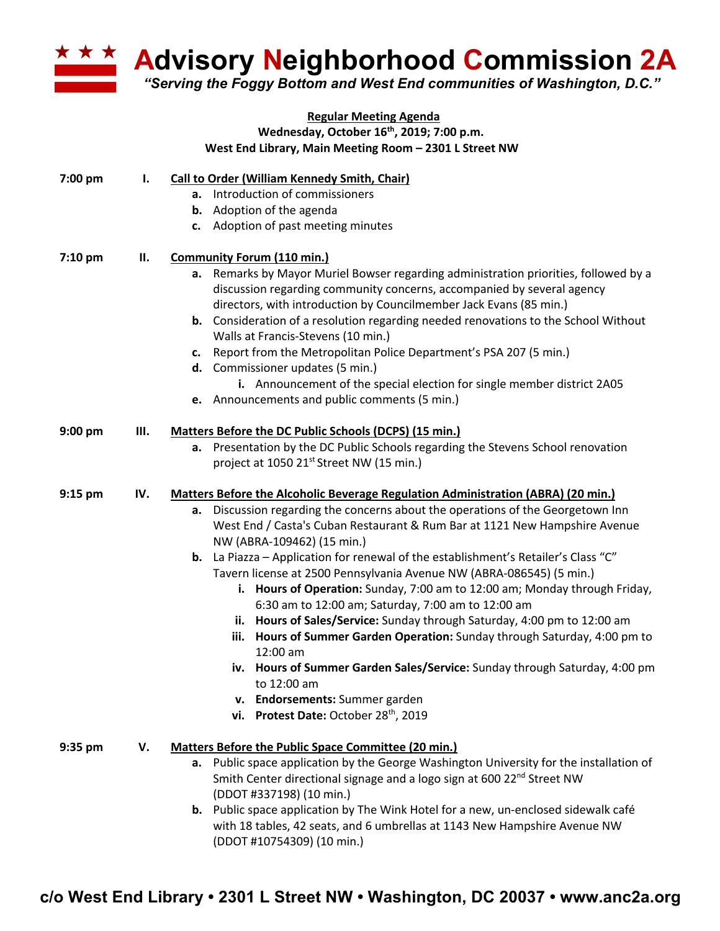

**Advisory Neighborhood Commission 2A**

*"Serving the Foggy Bottom and West End communities of Washington, D.C."*

| <b>Regular Meeting Agenda</b> |     |                                                                                                                                              |
|-------------------------------|-----|----------------------------------------------------------------------------------------------------------------------------------------------|
|                               |     | Wednesday, October 16 <sup>th</sup> , 2019; 7:00 p.m.                                                                                        |
|                               |     | West End Library, Main Meeting Room - 2301 L Street NW                                                                                       |
| 7:00 pm                       | ı.  | <b>Call to Order (William Kennedy Smith, Chair)</b>                                                                                          |
|                               |     | a. Introduction of commissioners                                                                                                             |
|                               |     | <b>b.</b> Adoption of the agenda                                                                                                             |
|                               |     | c. Adoption of past meeting minutes                                                                                                          |
| 7:10 pm                       | П.  | <b>Community Forum (110 min.)</b>                                                                                                            |
|                               |     | a. Remarks by Mayor Muriel Bowser regarding administration priorities, followed by a                                                         |
|                               |     | discussion regarding community concerns, accompanied by several agency<br>directors, with introduction by Councilmember Jack Evans (85 min.) |
|                               |     | <b>b.</b> Consideration of a resolution regarding needed renovations to the School Without                                                   |
|                               |     |                                                                                                                                              |
|                               |     | Walls at Francis-Stevens (10 min.)                                                                                                           |
|                               |     | c. Report from the Metropolitan Police Department's PSA 207 (5 min.)<br>d. Commissioner updates (5 min.)                                     |
|                               |     | i. Announcement of the special election for single member district 2A05                                                                      |
|                               |     | e. Announcements and public comments (5 min.)                                                                                                |
|                               |     |                                                                                                                                              |
| 9:00 pm                       | Ш.  | Matters Before the DC Public Schools (DCPS) (15 min.)                                                                                        |
|                               |     | a. Presentation by the DC Public Schools regarding the Stevens School renovation                                                             |
|                               |     | project at 1050 21 <sup>st</sup> Street NW (15 min.)                                                                                         |
| $9:15$ pm                     | IV. | <b>Matters Before the Alcoholic Beverage Regulation Administration (ABRA) (20 min.)</b>                                                      |
|                               |     | Discussion regarding the concerns about the operations of the Georgetown Inn<br>а.                                                           |
|                               |     | West End / Casta's Cuban Restaurant & Rum Bar at 1121 New Hampshire Avenue                                                                   |
|                               |     | NW (ABRA-109462) (15 min.)                                                                                                                   |
|                               |     | b. La Piazza - Application for renewal of the establishment's Retailer's Class "C"                                                           |
|                               |     | Tavern license at 2500 Pennsylvania Avenue NW (ABRA-086545) (5 min.)                                                                         |
|                               |     | i. Hours of Operation: Sunday, 7:00 am to 12:00 am; Monday through Friday,                                                                   |
|                               |     | 6:30 am to 12:00 am; Saturday, 7:00 am to 12:00 am                                                                                           |
|                               |     | ii. Hours of Sales/Service: Sunday through Saturday, 4:00 pm to 12:00 am                                                                     |
|                               |     | iii. Hours of Summer Garden Operation: Sunday through Saturday, 4:00 pm to<br>$12:00$ am                                                     |
|                               |     | iv. Hours of Summer Garden Sales/Service: Sunday through Saturday, 4:00 pm                                                                   |
|                               |     | to 12:00 am                                                                                                                                  |
|                               |     | v. Endorsements: Summer garden                                                                                                               |
|                               |     | vi. Protest Date: October 28 <sup>th</sup> , 2019                                                                                            |
| 9:35 pm                       | V.  | Matters Before the Public Space Committee (20 min.)                                                                                          |
|                               |     | a. Public space application by the George Washington University for the installation of                                                      |
|                               |     | Smith Center directional signage and a logo sign at 600 22 <sup>nd</sup> Street NW                                                           |
|                               |     | (DDOT #337198) (10 min.)                                                                                                                     |
|                               |     | <b>b.</b> Public space application by The Wink Hotel for a new, un-enclosed sidewalk café                                                    |
|                               |     | with 18 tables, 42 seats, and 6 umbrellas at 1143 New Hampshire Avenue NW                                                                    |
|                               |     | (DDOT #10754309) (10 min.)                                                                                                                   |